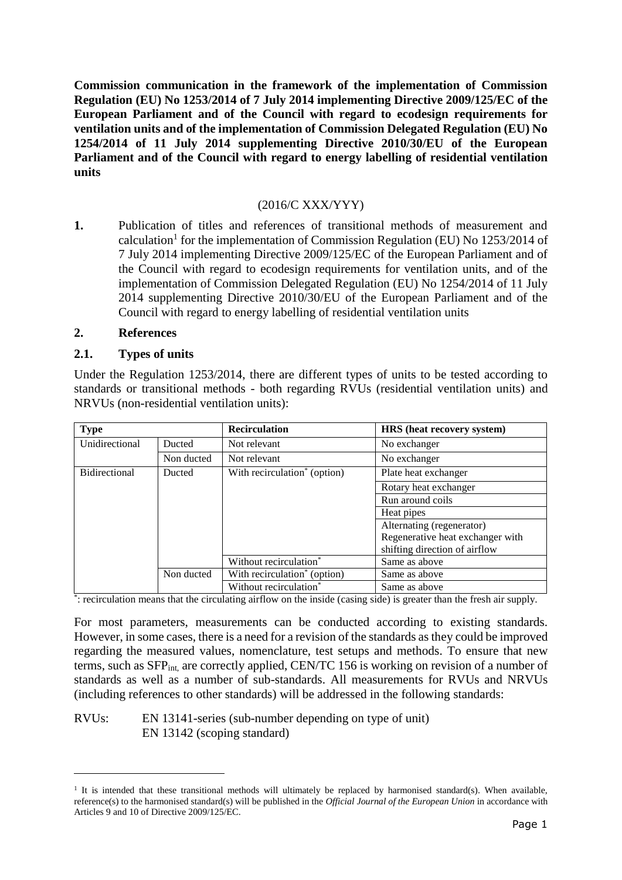**Commission communication in the framework of the implementation of Commission Regulation (EU) No 1253/2014 of 7 July 2014 implementing Directive 2009/125/EC of the European Parliament and of the Council with regard to ecodesign requirements for ventilation units and of the implementation of Commission Delegated Regulation (EU) No 1254/2014 of 11 July 2014 supplementing Directive 2010/30/EU of the European Parliament and of the Council with regard to energy labelling of residential ventilation units**

## (2016/C XXX/YYY)

**1.** Publication of titles and references of transitional methods of measurement and calculation<sup>1</sup> for the implementation of Commission Regulation (EU) No  $1253/2014$  of 7 July 2014 implementing Directive 2009/125/EC of the European Parliament and of the Council with regard to ecodesign requirements for ventilation units, and of the implementation of Commission Delegated Regulation (EU) No 1254/2014 of 11 July 2014 supplementing Directive 2010/30/EU of the European Parliament and of the Council with regard to energy labelling of residential ventilation units

#### **2. References**

-

## **2.1. Types of units**

Under the Regulation 1253/2014, there are different types of units to be tested according to standards or transitional methods - both regarding RVUs (residential ventilation units) and NRVUs (non-residential ventilation units):

| <b>Type</b>          |            | <b>Recirculation</b>                     | HRS (heat recovery system)       |
|----------------------|------------|------------------------------------------|----------------------------------|
| Unidirectional       | Ducted     | Not relevant                             | No exchanger                     |
|                      | Non ducted | Not relevant                             | No exchanger                     |
| <b>Bidirectional</b> | Ducted     | With recirculation <sup>*</sup> (option) | Plate heat exchanger             |
|                      |            |                                          | Rotary heat exchanger            |
|                      |            |                                          | Run around coils                 |
|                      |            |                                          | Heat pipes                       |
|                      |            |                                          | Alternating (regenerator)        |
|                      |            |                                          | Regenerative heat exchanger with |
|                      |            |                                          | shifting direction of airflow    |
|                      |            | Without recirculation <sup>*</sup>       | Same as above                    |
|                      | Non ducted | With recirculation <sup>*</sup> (option) | Same as above                    |
|                      |            | Without recirculation <sup>*</sup>       | Same as above                    |

\* : recirculation means that the circulating airflow on the inside (casing side) is greater than the fresh air supply.

For most parameters, measurements can be conducted according to existing standards. However, in some cases, there is a need for a revision of the standards as they could be improved regarding the measured values, nomenclature, test setups and methods. To ensure that new terms, such as SFP<sub>int,</sub> are correctly applied, CEN/TC 156 is working on revision of a number of standards as well as a number of sub-standards. All measurements for RVUs and NRVUs (including references to other standards) will be addressed in the following standards:

RVUs: EN 13141-series (sub-number depending on type of unit) EN 13142 (scoping standard)

<sup>&</sup>lt;sup>1</sup> It is intended that these transitional methods will ultimately be replaced by harmonised standard(s). When available, reference(s) to the harmonised standard(s) will be published in the *Official Journal of the European Union* in accordance with Articles 9 and 10 of Directive 2009/125/EC.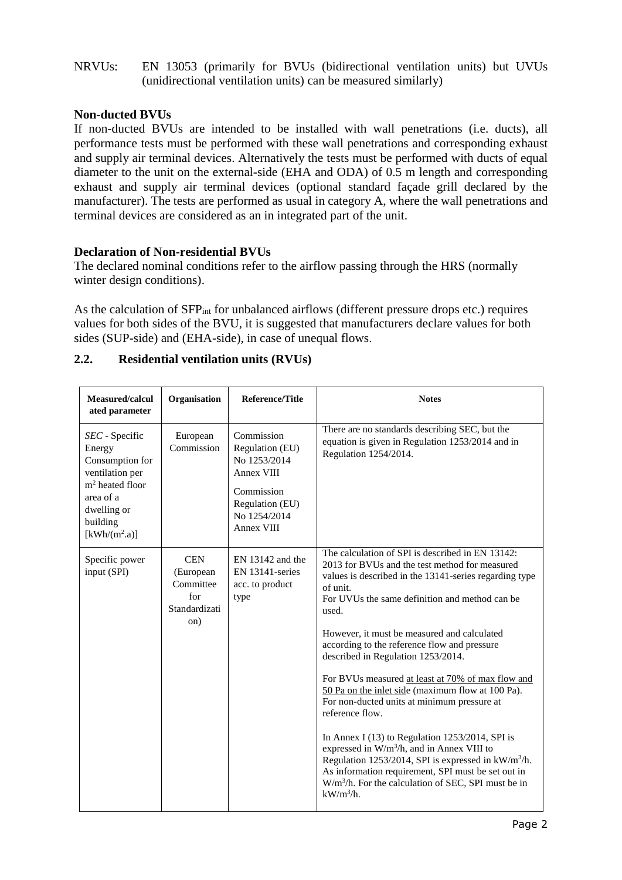## NRVUs: EN 13053 (primarily for BVUs (bidirectional ventilation units) but UVUs (unidirectional ventilation units) can be measured similarly)

## **Non-ducted BVUs**

If non-ducted BVUs are intended to be installed with wall penetrations (i.e. ducts), all performance tests must be performed with these wall penetrations and corresponding exhaust and supply air terminal devices. Alternatively the tests must be performed with ducts of equal diameter to the unit on the external-side (EHA and ODA) of 0.5 m length and corresponding exhaust and supply air terminal devices (optional standard façade grill declared by the manufacturer). The tests are performed as usual in category A, where the wall penetrations and terminal devices are considered as an in integrated part of the unit.

## **Declaration of Non-residential BVUs**

The declared nominal conditions refer to the airflow passing through the HRS (normally winter design conditions).

As the calculation of SFP<sub>int</sub> for unbalanced airflows (different pressure drops etc.) requires values for both sides of the BVU, it is suggested that manufacturers declare values for both sides (SUP-side) and (EHA-side), in case of unequal flows.

| Measured/calcul<br>ated parameter                                                                                                                                                   | Organisation                                                        | <b>Reference/Title</b>                                                                                                     | <b>Notes</b>                                                                                                                                                                                                                                                                                                                                                                                                                                                                                                                                                                                                                                                                                                                                                                                                                                                           |
|-------------------------------------------------------------------------------------------------------------------------------------------------------------------------------------|---------------------------------------------------------------------|----------------------------------------------------------------------------------------------------------------------------|------------------------------------------------------------------------------------------------------------------------------------------------------------------------------------------------------------------------------------------------------------------------------------------------------------------------------------------------------------------------------------------------------------------------------------------------------------------------------------------------------------------------------------------------------------------------------------------------------------------------------------------------------------------------------------------------------------------------------------------------------------------------------------------------------------------------------------------------------------------------|
| SEC - Specific<br>Energy<br>Consumption for<br>ventilation per<br>$m2$ heated floor<br>area of a<br>dwelling or<br>building<br>$\left[\frac{\text{kWh}}{\text{m}^2 \cdot a}\right]$ | European<br>Commission                                              | Commission<br>Regulation (EU)<br>No 1253/2014<br>Annex VIII<br>Commission<br>Regulation (EU)<br>No 1254/2014<br>Annex VIII | There are no standards describing SEC, but the<br>equation is given in Regulation 1253/2014 and in<br>Regulation 1254/2014.                                                                                                                                                                                                                                                                                                                                                                                                                                                                                                                                                                                                                                                                                                                                            |
| Specific power<br>input (SPI)                                                                                                                                                       | <b>CEN</b><br>(European<br>Committee<br>for<br>Standardizati<br>on) | $EN$ 13142 and the<br>$EN$ 13141-series<br>acc. to product<br>type                                                         | The calculation of SPI is described in EN 13142:<br>2013 for BVUs and the test method for measured<br>values is described in the 13141-series regarding type<br>of unit.<br>For UVUs the same definition and method can be.<br>used.<br>However, it must be measured and calculated<br>according to the reference flow and pressure<br>described in Regulation 1253/2014.<br>For BVUs measured at least at 70% of max flow and<br>50 Pa on the inlet side (maximum flow at 100 Pa).<br>For non-ducted units at minimum pressure at<br>reference flow.<br>In Annex I $(13)$ to Regulation 1253/2014, SPI is<br>expressed in W/m <sup>3</sup> /h, and in Annex VIII to<br>Regulation 1253/2014, SPI is expressed in kW/m <sup>3</sup> /h.<br>As information requirement, SPI must be set out in<br>$W/m3/h$ . For the calculation of SEC, SPI must be in<br>$kW/m^3/h$ . |

## **2.2. Residential ventilation units (RVUs)**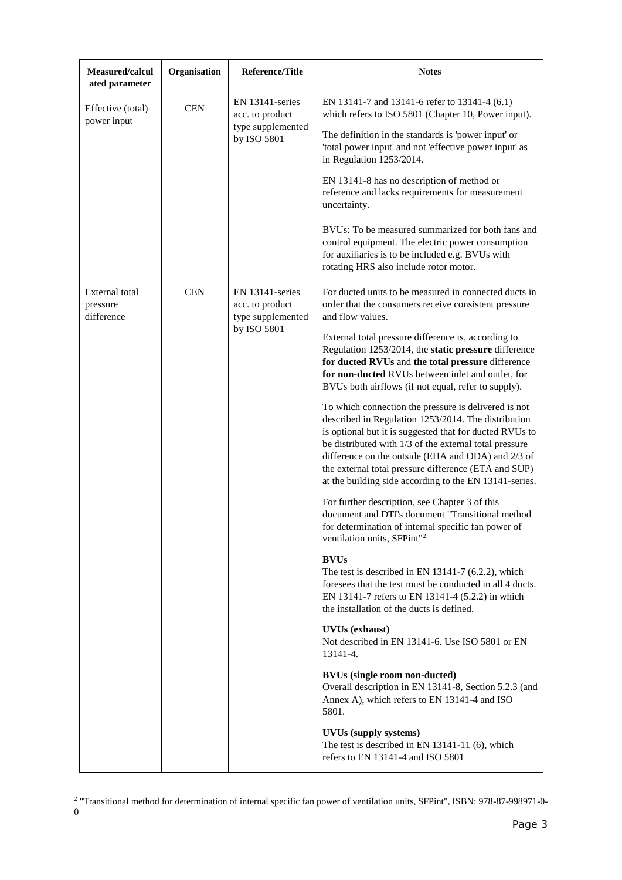| Measured/calcul<br>ated parameter        | Organisation | Reference/Title                                                        | <b>Notes</b>                                                                                                                                                                                                                                                                                                                                                                                                                                                                                                                                                                                                                                                                                                                                                                                                                                                                                                                                                                                                                                                                                                                                                                                                                                                                                                                                                                                                                                                                                                                                                                                                                                         |
|------------------------------------------|--------------|------------------------------------------------------------------------|------------------------------------------------------------------------------------------------------------------------------------------------------------------------------------------------------------------------------------------------------------------------------------------------------------------------------------------------------------------------------------------------------------------------------------------------------------------------------------------------------------------------------------------------------------------------------------------------------------------------------------------------------------------------------------------------------------------------------------------------------------------------------------------------------------------------------------------------------------------------------------------------------------------------------------------------------------------------------------------------------------------------------------------------------------------------------------------------------------------------------------------------------------------------------------------------------------------------------------------------------------------------------------------------------------------------------------------------------------------------------------------------------------------------------------------------------------------------------------------------------------------------------------------------------------------------------------------------------------------------------------------------------|
| Effective (total)<br>power input         | <b>CEN</b>   | EN 13141-series<br>acc. to product<br>type supplemented<br>by ISO 5801 | EN 13141-7 and 13141-6 refer to 13141-4 (6.1)<br>which refers to ISO 5801 (Chapter 10, Power input).<br>The definition in the standards is 'power input' or<br>'total power input' and not 'effective power input' as<br>in Regulation 1253/2014.<br>EN 13141-8 has no description of method or<br>reference and lacks requirements for measurement<br>uncertainty.<br>BVUs: To be measured summarized for both fans and<br>control equipment. The electric power consumption<br>for auxiliaries is to be included e.g. BVUs with<br>rotating HRS also include rotor motor.                                                                                                                                                                                                                                                                                                                                                                                                                                                                                                                                                                                                                                                                                                                                                                                                                                                                                                                                                                                                                                                                          |
| External total<br>pressure<br>difference | <b>CEN</b>   | EN 13141-series<br>acc. to product<br>type supplemented<br>by ISO 5801 | For ducted units to be measured in connected ducts in<br>order that the consumers receive consistent pressure<br>and flow values.<br>External total pressure difference is, according to<br>Regulation 1253/2014, the static pressure difference<br>for ducted RVUs and the total pressure difference<br>for non-ducted RVUs between inlet and outlet, for<br>BVUs both airflows (if not equal, refer to supply).<br>To which connection the pressure is delivered is not<br>described in Regulation 1253/2014. The distribution<br>is optional but it is suggested that for ducted RVUs to<br>be distributed with 1/3 of the external total pressure<br>difference on the outside (EHA and ODA) and 2/3 of<br>the external total pressure difference (ETA and SUP)<br>at the building side according to the EN 13141-series.<br>For further description, see Chapter 3 of this<br>document and DTI's document "Transitional method<br>for determination of internal specific fan power of<br>ventilation units, SFPint" <sup>2</sup><br><b>BVUs</b><br>The test is described in EN 13141-7 $(6.2.2)$ , which<br>foresees that the test must be conducted in all 4 ducts.<br>EN 13141-7 refers to EN 13141-4 (5.2.2) in which<br>the installation of the ducts is defined.<br><b>UVUs</b> (exhaust)<br>Not described in EN 13141-6. Use ISO 5801 or EN<br>13141-4.<br><b>BVUs (single room non-ducted)</b><br>Overall description in EN 13141-8, Section 5.2.3 (and<br>Annex A), which refers to EN 13141-4 and ISO<br>5801.<br><b>UVUs (supply systems)</b><br>The test is described in EN 13141-11 (6), which<br>refers to EN 13141-4 and ISO 5801 |

<sup>2</sup> "Transitional method for determination of internal specific fan power of ventilation units, SFPint", ISBN: 978-87-998971-0- 0

1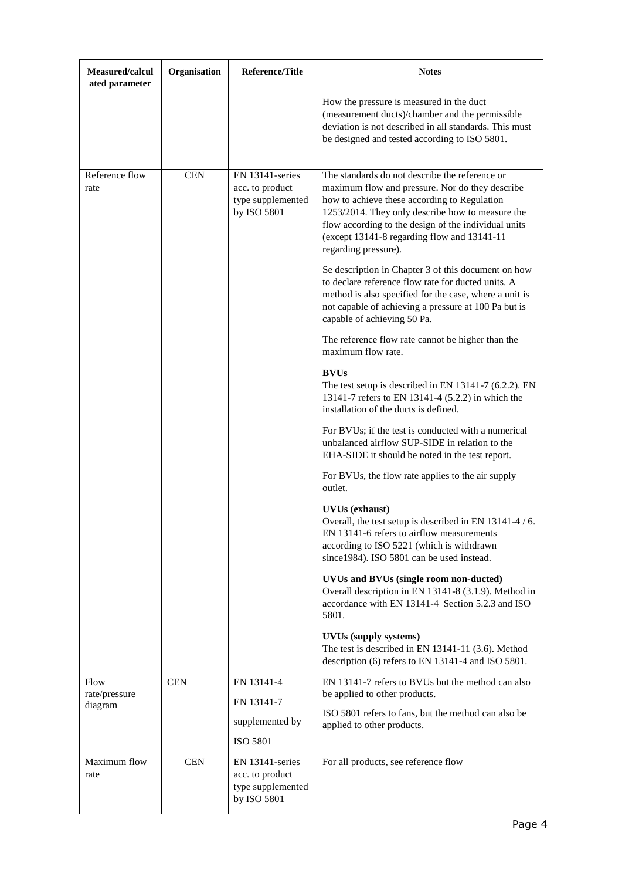| Measured/calcul<br>ated parameter | Organisation | <b>Reference/Title</b>                                                 | <b>Notes</b>                                                                                                                                                                                                                                                                                                                         |
|-----------------------------------|--------------|------------------------------------------------------------------------|--------------------------------------------------------------------------------------------------------------------------------------------------------------------------------------------------------------------------------------------------------------------------------------------------------------------------------------|
|                                   |              |                                                                        | How the pressure is measured in the duct<br>(measurement ducts)/chamber and the permissible<br>deviation is not described in all standards. This must<br>be designed and tested according to ISO 5801.                                                                                                                               |
| Reference flow<br>rate            | <b>CEN</b>   | EN 13141-series<br>acc. to product<br>type supplemented<br>by ISO 5801 | The standards do not describe the reference or<br>maximum flow and pressure. Nor do they describe<br>how to achieve these according to Regulation<br>1253/2014. They only describe how to measure the<br>flow according to the design of the individual units<br>(except 13141-8 regarding flow and 13141-11<br>regarding pressure). |
|                                   |              |                                                                        | Se description in Chapter 3 of this document on how<br>to declare reference flow rate for ducted units. A<br>method is also specified for the case, where a unit is<br>not capable of achieving a pressure at 100 Pa but is<br>capable of achieving 50 Pa.                                                                           |
|                                   |              |                                                                        | The reference flow rate cannot be higher than the<br>maximum flow rate.                                                                                                                                                                                                                                                              |
|                                   |              |                                                                        | <b>BVUs</b><br>The test setup is described in EN 13141-7 $(6.2.2)$ . EN<br>13141-7 refers to EN 13141-4 (5.2.2) in which the<br>installation of the ducts is defined.                                                                                                                                                                |
|                                   |              |                                                                        | For BVUs; if the test is conducted with a numerical<br>unbalanced airflow SUP-SIDE in relation to the<br>EHA-SIDE it should be noted in the test report.                                                                                                                                                                             |
|                                   |              |                                                                        | For BVUs, the flow rate applies to the air supply<br>outlet.                                                                                                                                                                                                                                                                         |
|                                   |              |                                                                        | <b>UVUs</b> (exhaust)<br>Overall, the test setup is described in EN 13141-4 / 6.<br>EN 13141-6 refers to airflow measurements<br>according to ISO 5221 (which is withdrawn<br>since 1984). ISO 5801 can be used instead.                                                                                                             |
|                                   |              |                                                                        | UVUs and BVUs (single room non-ducted)<br>Overall description in EN 13141-8 (3.1.9). Method in<br>accordance with EN 13141-4 Section 5.2.3 and ISO<br>5801.                                                                                                                                                                          |
|                                   |              |                                                                        | <b>UVUs (supply systems)</b><br>The test is described in EN 13141-11 (3.6). Method<br>description (6) refers to EN 13141-4 and ISO 5801.                                                                                                                                                                                             |
| Flow<br>rate/pressure             | <b>CEN</b>   | EN 13141-4<br>EN 13141-7                                               | EN 13141-7 refers to BVUs but the method can also<br>be applied to other products.                                                                                                                                                                                                                                                   |
| diagram                           |              | supplemented by<br><b>ISO 5801</b>                                     | ISO 5801 refers to fans, but the method can also be<br>applied to other products.                                                                                                                                                                                                                                                    |
| Maximum flow<br>rate              | <b>CEN</b>   | EN 13141-series<br>acc. to product<br>type supplemented<br>by ISO 5801 | For all products, see reference flow                                                                                                                                                                                                                                                                                                 |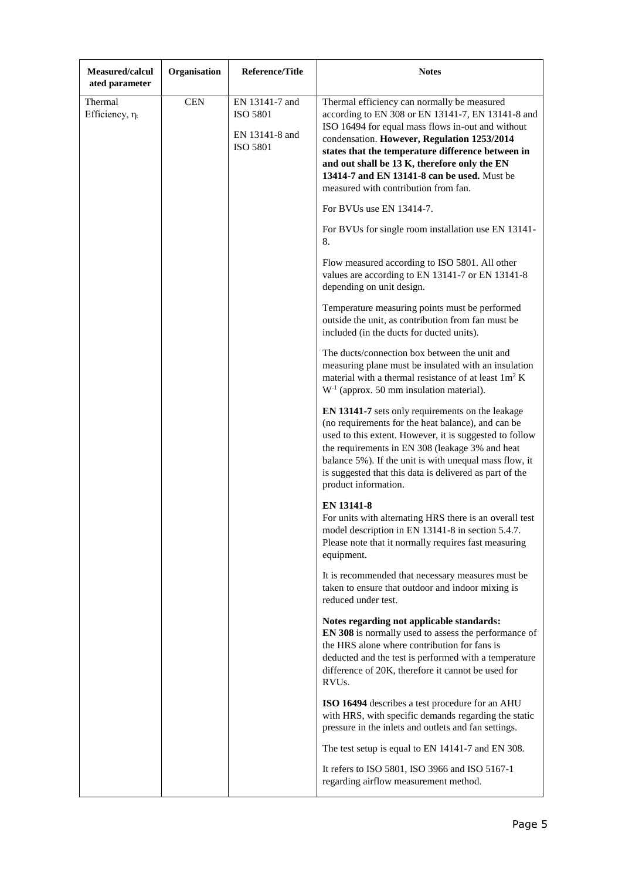| Measured/calcul<br>ated parameter | Organisation | <b>Reference/Title</b>                                                 | <b>Notes</b>                                                                                                                                                                                                                                                                                                                                                                                     |
|-----------------------------------|--------------|------------------------------------------------------------------------|--------------------------------------------------------------------------------------------------------------------------------------------------------------------------------------------------------------------------------------------------------------------------------------------------------------------------------------------------------------------------------------------------|
| Thermal<br>Efficiency, $\eta_t$   | <b>CEN</b>   | EN 13141-7 and<br><b>ISO 5801</b><br>EN 13141-8 and<br><b>ISO 5801</b> | Thermal efficiency can normally be measured<br>according to EN 308 or EN 13141-7, EN 13141-8 and<br>ISO 16494 for equal mass flows in-out and without<br>condensation. However, Regulation 1253/2014<br>states that the temperature difference between in<br>and out shall be 13 K, therefore only the EN<br>13414-7 and EN 13141-8 can be used. Must be<br>measured with contribution from fan. |
|                                   |              |                                                                        | For BVUs use EN 13414-7.<br>For BVUs for single room installation use EN 13141-                                                                                                                                                                                                                                                                                                                  |
|                                   |              |                                                                        | 8.                                                                                                                                                                                                                                                                                                                                                                                               |
|                                   |              |                                                                        | Flow measured according to ISO 5801. All other<br>values are according to EN 13141-7 or EN 13141-8<br>depending on unit design.                                                                                                                                                                                                                                                                  |
|                                   |              |                                                                        | Temperature measuring points must be performed<br>outside the unit, as contribution from fan must be<br>included (in the ducts for ducted units).                                                                                                                                                                                                                                                |
|                                   |              |                                                                        | The ducts/connection box between the unit and<br>measuring plane must be insulated with an insulation<br>material with a thermal resistance of at least $1m^2 K$<br>$W-1$ (approx. 50 mm insulation material).                                                                                                                                                                                   |
|                                   |              |                                                                        | EN 13141-7 sets only requirements on the leakage<br>(no requirements for the heat balance), and can be<br>used to this extent. However, it is suggested to follow<br>the requirements in EN 308 (leakage 3% and heat<br>balance 5%). If the unit is with unequal mass flow, it<br>is suggested that this data is delivered as part of the<br>product information.                                |
|                                   |              |                                                                        | <b>EN 13141-8</b><br>For units with alternating HRS there is an overall test<br>model description in EN 13141-8 in section 5.4.7.<br>Please note that it normally requires fast measuring<br>equipment.                                                                                                                                                                                          |
|                                   |              |                                                                        | It is recommended that necessary measures must be<br>taken to ensure that outdoor and indoor mixing is<br>reduced under test.                                                                                                                                                                                                                                                                    |
|                                   |              |                                                                        | Notes regarding not applicable standards:<br>EN 308 is normally used to assess the performance of<br>the HRS alone where contribution for fans is<br>deducted and the test is performed with a temperature<br>difference of 20K, therefore it cannot be used for<br>RVU <sub>s</sub> .                                                                                                           |
|                                   |              |                                                                        | ISO 16494 describes a test procedure for an AHU<br>with HRS, with specific demands regarding the static<br>pressure in the inlets and outlets and fan settings.                                                                                                                                                                                                                                  |
|                                   |              |                                                                        | The test setup is equal to EN 14141-7 and EN 308.                                                                                                                                                                                                                                                                                                                                                |
|                                   |              |                                                                        | It refers to ISO 5801, ISO 3966 and ISO 5167-1<br>regarding airflow measurement method.                                                                                                                                                                                                                                                                                                          |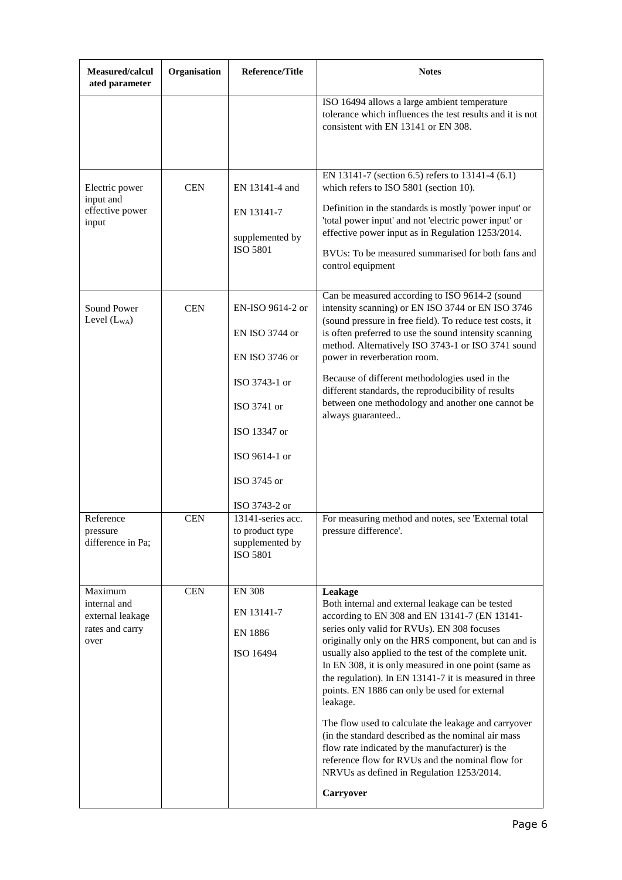| Measured/calcul<br>ated parameter                                      | Organisation | <b>Reference/Title</b>                                                                                                                                | <b>Notes</b>                                                                                                                                                                                                                                                                                                                                                                                                                                                                                                                                                                                                                                                                                                                                |
|------------------------------------------------------------------------|--------------|-------------------------------------------------------------------------------------------------------------------------------------------------------|---------------------------------------------------------------------------------------------------------------------------------------------------------------------------------------------------------------------------------------------------------------------------------------------------------------------------------------------------------------------------------------------------------------------------------------------------------------------------------------------------------------------------------------------------------------------------------------------------------------------------------------------------------------------------------------------------------------------------------------------|
|                                                                        |              |                                                                                                                                                       | ISO 16494 allows a large ambient temperature<br>tolerance which influences the test results and it is not<br>consistent with EN 13141 or EN 308.                                                                                                                                                                                                                                                                                                                                                                                                                                                                                                                                                                                            |
| Electric power<br>input and<br>effective power<br>input                | <b>CEN</b>   | EN 13141-4 and<br>EN 13141-7<br>supplemented by<br><b>ISO 5801</b>                                                                                    | EN 13141-7 (section 6.5) refers to 13141-4 (6.1)<br>which refers to ISO 5801 (section 10).<br>Definition in the standards is mostly 'power input' or<br>'total power input' and not 'electric power input' or<br>effective power input as in Regulation 1253/2014.<br>BVUs: To be measured summarised for both fans and<br>control equipment                                                                                                                                                                                                                                                                                                                                                                                                |
| Sound Power<br>Level $(L_{WA})$                                        | <b>CEN</b>   | EN-ISO 9614-2 or<br>EN ISO 3744 or<br>EN ISO 3746 or<br>ISO 3743-1 or<br>ISO 3741 or<br>ISO 13347 or<br>ISO 9614-1 or<br>ISO 3745 or<br>ISO 3743-2 or | Can be measured according to ISO 9614-2 (sound<br>intensity scanning) or EN ISO 3744 or EN ISO 3746<br>(sound pressure in free field). To reduce test costs, it<br>is often preferred to use the sound intensity scanning<br>method. Alternatively ISO 3743-1 or ISO 3741 sound<br>power in reverberation room.<br>Because of different methodologies used in the<br>different standards, the reproducibility of results<br>between one methodology and another one cannot be<br>always guaranteed                                                                                                                                                                                                                                          |
| Reference<br>pressure<br>difference in Pa;                             | <b>CEN</b>   | 13141-series acc.<br>to product type<br>supplemented by<br><b>ISO 5801</b>                                                                            | For measuring method and notes, see 'External total<br>pressure difference'.                                                                                                                                                                                                                                                                                                                                                                                                                                                                                                                                                                                                                                                                |
| Maximum<br>internal and<br>external leakage<br>rates and carry<br>over | <b>CEN</b>   | <b>EN 308</b><br>EN 13141-7<br><b>EN 1886</b><br>ISO 16494                                                                                            | Leakage<br>Both internal and external leakage can be tested<br>according to EN 308 and EN 13141-7 (EN 13141-<br>series only valid for RVUs). EN 308 focuses<br>originally only on the HRS component, but can and is<br>usually also applied to the test of the complete unit.<br>In EN 308, it is only measured in one point (same as<br>the regulation). In EN 13141-7 it is measured in three<br>points. EN 1886 can only be used for external<br>leakage.<br>The flow used to calculate the leakage and carryover<br>(in the standard described as the nominal air mass<br>flow rate indicated by the manufacturer) is the<br>reference flow for RVUs and the nominal flow for<br>NRVUs as defined in Regulation 1253/2014.<br>Carryover |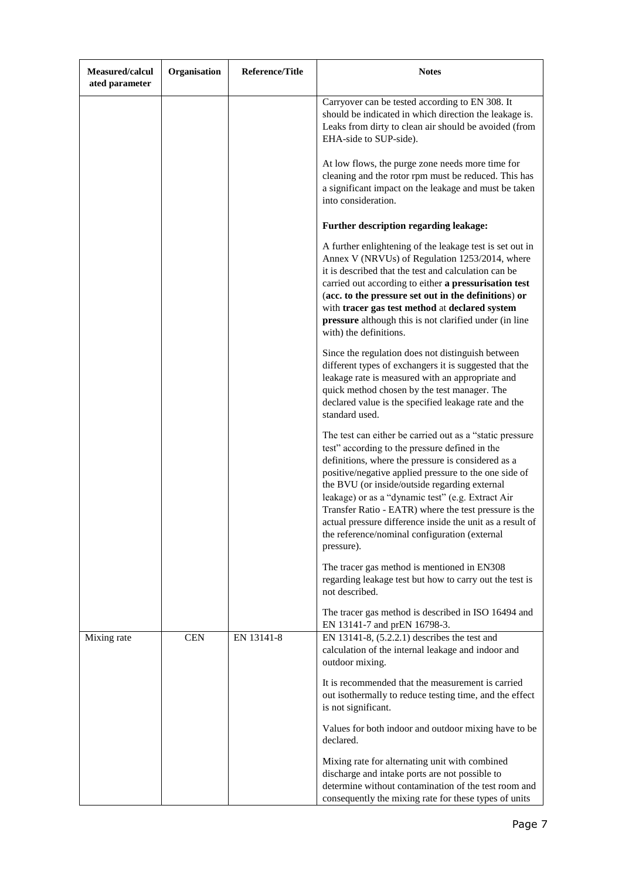| Measured/calcul<br>ated parameter | Organisation | <b>Reference/Title</b> | <b>Notes</b>                                                                                                                                                                                                                                                                                                                                                                                                                                                                                                          |
|-----------------------------------|--------------|------------------------|-----------------------------------------------------------------------------------------------------------------------------------------------------------------------------------------------------------------------------------------------------------------------------------------------------------------------------------------------------------------------------------------------------------------------------------------------------------------------------------------------------------------------|
|                                   |              |                        | Carryover can be tested according to EN 308. It<br>should be indicated in which direction the leakage is.<br>Leaks from dirty to clean air should be avoided (from<br>EHA-side to SUP-side).                                                                                                                                                                                                                                                                                                                          |
|                                   |              |                        | At low flows, the purge zone needs more time for<br>cleaning and the rotor rpm must be reduced. This has<br>a significant impact on the leakage and must be taken<br>into consideration.                                                                                                                                                                                                                                                                                                                              |
|                                   |              |                        | Further description regarding leakage:                                                                                                                                                                                                                                                                                                                                                                                                                                                                                |
|                                   |              |                        | A further enlightening of the leakage test is set out in<br>Annex V (NRVUs) of Regulation 1253/2014, where<br>it is described that the test and calculation can be<br>carried out according to either a pressurisation test<br>(acc. to the pressure set out in the definitions) or<br>with tracer gas test method at declared system<br>pressure although this is not clarified under (in line<br>with) the definitions.                                                                                             |
|                                   |              |                        | Since the regulation does not distinguish between<br>different types of exchangers it is suggested that the<br>leakage rate is measured with an appropriate and<br>quick method chosen by the test manager. The<br>declared value is the specified leakage rate and the<br>standard used.                                                                                                                                                                                                                             |
|                                   |              |                        | The test can either be carried out as a "static pressure"<br>test" according to the pressure defined in the<br>definitions, where the pressure is considered as a<br>positive/negative applied pressure to the one side of<br>the BVU (or inside/outside regarding external<br>leakage) or as a "dynamic test" (e.g. Extract Air<br>Transfer Ratio - EATR) where the test pressure is the<br>actual pressure difference inside the unit as a result of<br>the reference/nominal configuration (external<br>pressure). |
|                                   |              |                        | The tracer gas method is mentioned in EN308<br>regarding leakage test but how to carry out the test is<br>not described.                                                                                                                                                                                                                                                                                                                                                                                              |
|                                   |              |                        | The tracer gas method is described in ISO 16494 and<br>EN 13141-7 and prEN 16798-3.                                                                                                                                                                                                                                                                                                                                                                                                                                   |
| Mixing rate                       | <b>CEN</b>   | EN 13141-8             | EN 13141-8, $(5.2.2.1)$ describes the test and<br>calculation of the internal leakage and indoor and<br>outdoor mixing.                                                                                                                                                                                                                                                                                                                                                                                               |
|                                   |              |                        | It is recommended that the measurement is carried<br>out isothermally to reduce testing time, and the effect<br>is not significant.                                                                                                                                                                                                                                                                                                                                                                                   |
|                                   |              |                        | Values for both indoor and outdoor mixing have to be<br>declared.                                                                                                                                                                                                                                                                                                                                                                                                                                                     |
|                                   |              |                        | Mixing rate for alternating unit with combined<br>discharge and intake ports are not possible to<br>determine without contamination of the test room and<br>consequently the mixing rate for these types of units                                                                                                                                                                                                                                                                                                     |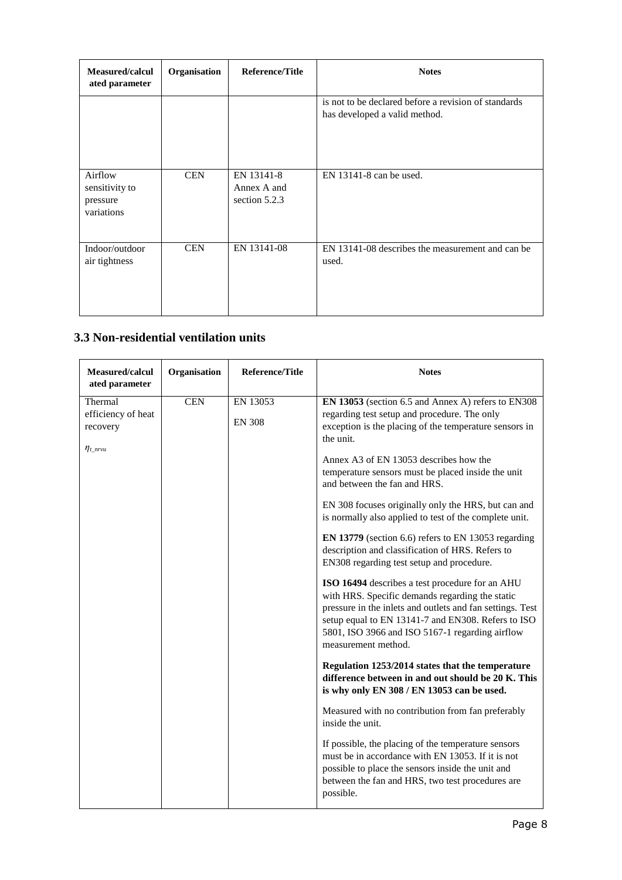| Measured/calcul<br>ated parameter                   | Organisation | Reference/Title                            | <b>Notes</b>                                                                          |
|-----------------------------------------------------|--------------|--------------------------------------------|---------------------------------------------------------------------------------------|
|                                                     |              |                                            | is not to be declared before a revision of standards<br>has developed a valid method. |
| Airflow<br>sensitivity to<br>pressure<br>variations | <b>CEN</b>   | EN 13141-8<br>Annex A and<br>section 5.2.3 | $EN$ 13141-8 can be used.                                                             |
| Indoor/outdoor<br>air tightness                     | <b>CEN</b>   | EN 13141-08                                | EN 13141-08 describes the measurement and can be<br>used.                             |

## **3.3 Non-residential ventilation units**

| Measured/calcul<br>ated parameter                             | Organisation | <b>Reference/Title</b>    | <b>Notes</b>                                                                                                                                                                                                                                                                                    |
|---------------------------------------------------------------|--------------|---------------------------|-------------------------------------------------------------------------------------------------------------------------------------------------------------------------------------------------------------------------------------------------------------------------------------------------|
| Thermal<br>efficiency of heat<br>recovery<br>$\eta_{t\_nrvu}$ | <b>CEN</b>   | EN 13053<br><b>EN 308</b> | EN 13053 (section 6.5 and Annex A) refers to EN308<br>regarding test setup and procedure. The only<br>exception is the placing of the temperature sensors in<br>the unit.                                                                                                                       |
|                                                               |              |                           | Annex A3 of EN 13053 describes how the<br>temperature sensors must be placed inside the unit<br>and between the fan and HRS.                                                                                                                                                                    |
|                                                               |              |                           | EN 308 focuses originally only the HRS, but can and<br>is normally also applied to test of the complete unit.                                                                                                                                                                                   |
|                                                               |              |                           | EN 13779 (section 6.6) refers to EN 13053 regarding<br>description and classification of HRS. Refers to<br>EN308 regarding test setup and procedure.                                                                                                                                            |
|                                                               |              |                           | ISO 16494 describes a test procedure for an AHU<br>with HRS. Specific demands regarding the static<br>pressure in the inlets and outlets and fan settings. Test<br>setup equal to EN 13141-7 and EN308. Refers to ISO<br>5801, ISO 3966 and ISO 5167-1 regarding airflow<br>measurement method. |
|                                                               |              |                           | Regulation 1253/2014 states that the temperature<br>difference between in and out should be 20 K. This<br>is why only EN 308 / EN 13053 can be used.                                                                                                                                            |
|                                                               |              |                           | Measured with no contribution from fan preferably<br>inside the unit.                                                                                                                                                                                                                           |
|                                                               |              |                           | If possible, the placing of the temperature sensors<br>must be in accordance with EN 13053. If it is not<br>possible to place the sensors inside the unit and<br>between the fan and HRS, two test procedures are<br>possible.                                                                  |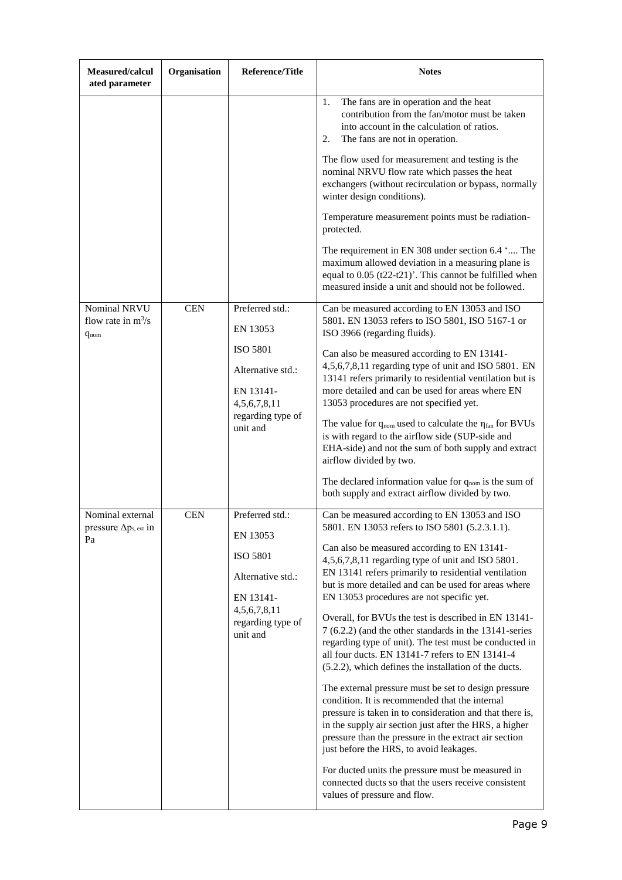| Measured/calcul<br>ated parameter                        | Organisation | <b>Reference/Title</b>                                                                                                            | <b>Notes</b>                                                                                                                                                                                                                                                                                                                                                                                                                                                                                                                                                                                                                                                                                                                                                                                                                                                                                                                                                                                                                                                                                                                              |
|----------------------------------------------------------|--------------|-----------------------------------------------------------------------------------------------------------------------------------|-------------------------------------------------------------------------------------------------------------------------------------------------------------------------------------------------------------------------------------------------------------------------------------------------------------------------------------------------------------------------------------------------------------------------------------------------------------------------------------------------------------------------------------------------------------------------------------------------------------------------------------------------------------------------------------------------------------------------------------------------------------------------------------------------------------------------------------------------------------------------------------------------------------------------------------------------------------------------------------------------------------------------------------------------------------------------------------------------------------------------------------------|
|                                                          |              |                                                                                                                                   | The fans are in operation and the heat<br>1.<br>contribution from the fan/motor must be taken<br>into account in the calculation of ratios.<br>The fans are not in operation.<br>2.                                                                                                                                                                                                                                                                                                                                                                                                                                                                                                                                                                                                                                                                                                                                                                                                                                                                                                                                                       |
|                                                          |              |                                                                                                                                   | The flow used for measurement and testing is the<br>nominal NRVU flow rate which passes the heat<br>exchangers (without recirculation or bypass, normally<br>winter design conditions).                                                                                                                                                                                                                                                                                                                                                                                                                                                                                                                                                                                                                                                                                                                                                                                                                                                                                                                                                   |
|                                                          |              |                                                                                                                                   | Temperature measurement points must be radiation-<br>protected.                                                                                                                                                                                                                                                                                                                                                                                                                                                                                                                                                                                                                                                                                                                                                                                                                                                                                                                                                                                                                                                                           |
|                                                          |              |                                                                                                                                   | The requirement in EN 308 under section 6.4 ' The<br>maximum allowed deviation in a measuring plane is<br>equal to 0.05 (t22-t21)'. This cannot be fulfilled when<br>measured inside a unit and should not be followed.                                                                                                                                                                                                                                                                                                                                                                                                                                                                                                                                                                                                                                                                                                                                                                                                                                                                                                                   |
| Nominal NRVU<br>flow rate in $m^3/s$<br>$q_{nom}$        | <b>CEN</b>   | Preferred std.:<br>EN 13053                                                                                                       | Can be measured according to EN 13053 and ISO<br>5801. EN 13053 refers to ISO 5801, ISO 5167-1 or<br>ISO 3966 (regarding fluids).                                                                                                                                                                                                                                                                                                                                                                                                                                                                                                                                                                                                                                                                                                                                                                                                                                                                                                                                                                                                         |
|                                                          |              | <b>ISO 5801</b><br>Alternative std.:<br>EN 13141-<br>4,5,6,7,8,11<br>regarding type of<br>unit and                                | Can also be measured according to EN 13141-<br>4,5,6,7,8,11 regarding type of unit and ISO 5801. EN<br>13141 refers primarily to residential ventilation but is<br>more detailed and can be used for areas where EN<br>13053 procedures are not specified yet.<br>The value for $q_{nom}$ used to calculate the $\eta_{fan}$ for BVUs<br>is with regard to the airflow side (SUP-side and<br>EHA-side) and not the sum of both supply and extract<br>airflow divided by two.<br>The declared information value for $q_{nom}$ is the sum of<br>both supply and extract airflow divided by two.                                                                                                                                                                                                                                                                                                                                                                                                                                                                                                                                             |
| Nominal external<br>pressure $\Delta p_{s,ext}$ in<br>Pa | <b>CEN</b>   | Preferred std.:<br>EN 13053<br><b>ISO 5801</b><br>Alternative std.:<br>EN 13141-<br>4,5,6,7,8,11<br>regarding type of<br>unit and | Can be measured according to EN 13053 and ISO<br>5801. EN 13053 refers to ISO 5801 (5.2.3.1.1).<br>Can also be measured according to EN 13141-<br>4,5,6,7,8,11 regarding type of unit and ISO 5801.<br>EN 13141 refers primarily to residential ventilation<br>but is more detailed and can be used for areas where<br>EN 13053 procedures are not specific yet.<br>Overall, for BVUs the test is described in EN 13141-<br>7 (6.2.2) (and the other standards in the 13141-series<br>regarding type of unit). The test must be conducted in<br>all four ducts. EN 13141-7 refers to EN 13141-4<br>(5.2.2), which defines the installation of the ducts.<br>The external pressure must be set to design pressure<br>condition. It is recommended that the internal<br>pressure is taken in to consideration and that there is,<br>in the supply air section just after the HRS, a higher<br>pressure than the pressure in the extract air section<br>just before the HRS, to avoid leakages.<br>For ducted units the pressure must be measured in<br>connected ducts so that the users receive consistent<br>values of pressure and flow. |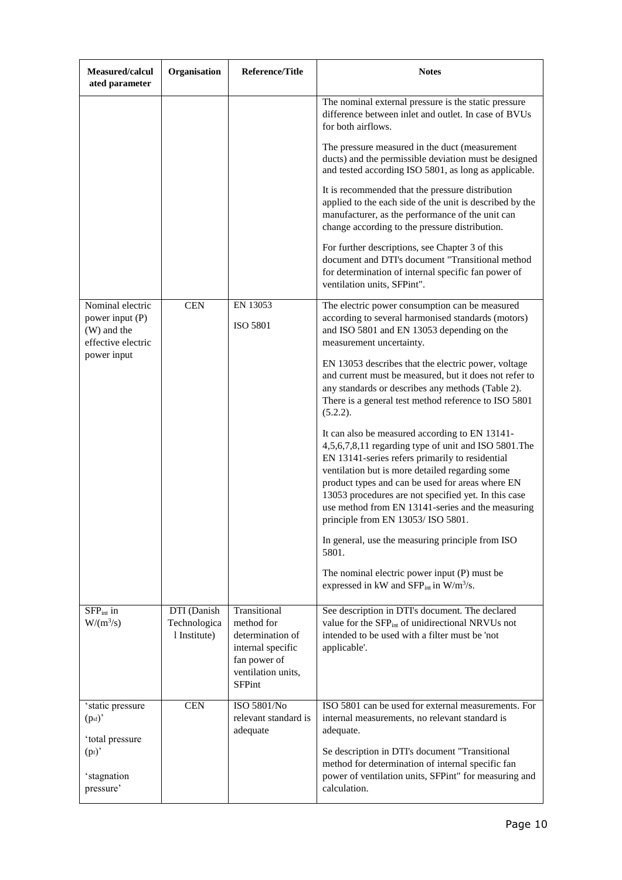| Measured/calcul<br>ated parameter                                        | Organisation                                | <b>Reference/Title</b>                                                                                                     | <b>Notes</b>                                                                                                                                                                                                                                                                                                                                                                                                        |
|--------------------------------------------------------------------------|---------------------------------------------|----------------------------------------------------------------------------------------------------------------------------|---------------------------------------------------------------------------------------------------------------------------------------------------------------------------------------------------------------------------------------------------------------------------------------------------------------------------------------------------------------------------------------------------------------------|
|                                                                          |                                             |                                                                                                                            | The nominal external pressure is the static pressure<br>difference between inlet and outlet. In case of BVUs<br>for both airflows.                                                                                                                                                                                                                                                                                  |
|                                                                          |                                             |                                                                                                                            | The pressure measured in the duct (measurement<br>ducts) and the permissible deviation must be designed<br>and tested according ISO 5801, as long as applicable.                                                                                                                                                                                                                                                    |
|                                                                          |                                             |                                                                                                                            | It is recommended that the pressure distribution<br>applied to the each side of the unit is described by the<br>manufacturer, as the performance of the unit can<br>change according to the pressure distribution.                                                                                                                                                                                                  |
|                                                                          |                                             |                                                                                                                            | For further descriptions, see Chapter 3 of this<br>document and DTI's document "Transitional method<br>for determination of internal specific fan power of<br>ventilation units, SFPint".                                                                                                                                                                                                                           |
| Nominal electric<br>power input (P)<br>(W) and the<br>effective electric | <b>CEN</b>                                  | EN 13053<br><b>ISO 5801</b>                                                                                                | The electric power consumption can be measured<br>according to several harmonised standards (motors)<br>and ISO 5801 and EN 13053 depending on the<br>measurement uncertainty.                                                                                                                                                                                                                                      |
| power input                                                              |                                             |                                                                                                                            | EN 13053 describes that the electric power, voltage<br>and current must be measured, but it does not refer to<br>any standards or describes any methods (Table 2).<br>There is a general test method reference to ISO 5801<br>(5.2.2).                                                                                                                                                                              |
|                                                                          |                                             |                                                                                                                            | It can also be measured according to EN 13141-<br>4,5,6,7,8,11 regarding type of unit and ISO 5801. The<br>EN 13141-series refers primarily to residential<br>ventilation but is more detailed regarding some<br>product types and can be used for areas where EN<br>13053 procedures are not specified yet. In this case<br>use method from EN 13141-series and the measuring<br>principle from EN 13053/ISO 5801. |
|                                                                          |                                             |                                                                                                                            | In general, use the measuring principle from ISO<br>5801.                                                                                                                                                                                                                                                                                                                                                           |
|                                                                          |                                             |                                                                                                                            | The nominal electric power input (P) must be<br>expressed in kW and $SFP_{int}$ in W/m <sup>3</sup> /s.                                                                                                                                                                                                                                                                                                             |
| $SFPint$ in<br>$W/(m^3/s)$                                               | DTI (Danish<br>Technologica<br>1 Institute) | Transitional<br>method for<br>determination of<br>internal specific<br>fan power of<br>ventilation units,<br><b>SFPint</b> | See description in DTI's document. The declared<br>value for the SFP <sub>int</sub> of unidirectional NRVUs not<br>intended to be used with a filter must be 'not<br>applicable'.                                                                                                                                                                                                                                   |
| 'static pressure<br>(p <sub>sf</sub> )                                   | <b>CEN</b>                                  | ISO 5801/No<br>relevant standard is<br>adequate                                                                            | ISO 5801 can be used for external measurements. For<br>internal measurements, no relevant standard is<br>adequate.                                                                                                                                                                                                                                                                                                  |
| 'total pressure<br>$(p_f)'$<br>'stagnation<br>pressure'                  |                                             |                                                                                                                            | Se description in DTI's document "Transitional<br>method for determination of internal specific fan<br>power of ventilation units, SFPint" for measuring and<br>calculation.                                                                                                                                                                                                                                        |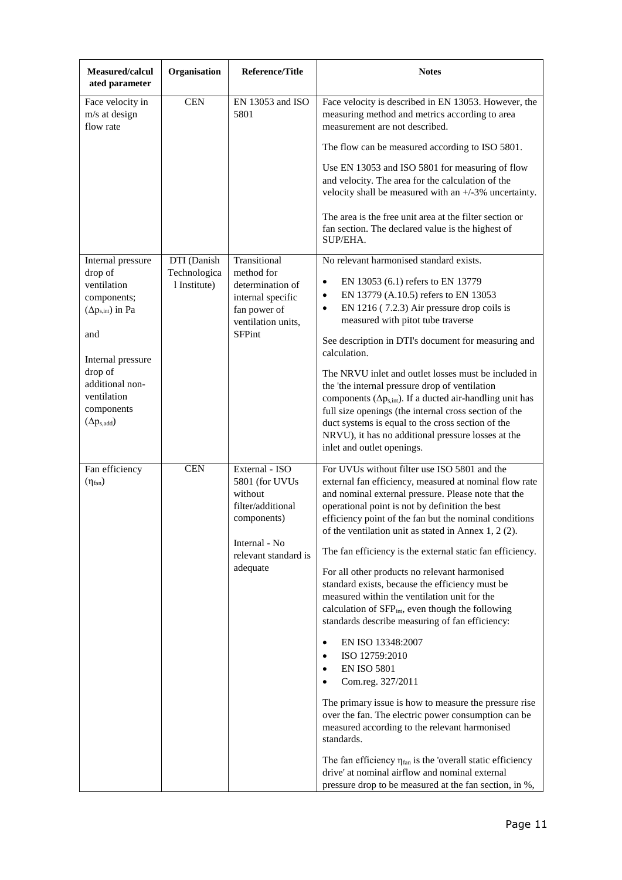| Measured/calcul<br>ated parameter                                                                    | Organisation                                | <b>Reference/Title</b>                                                                                                               | <b>Notes</b>                                                                                                                                                                                                                                                                                                                                                                                                                                                                                                                                                                                                                                                                                                                                                                                                                                                                                                                                                                                                                                                                                                                                                                  |
|------------------------------------------------------------------------------------------------------|---------------------------------------------|--------------------------------------------------------------------------------------------------------------------------------------|-------------------------------------------------------------------------------------------------------------------------------------------------------------------------------------------------------------------------------------------------------------------------------------------------------------------------------------------------------------------------------------------------------------------------------------------------------------------------------------------------------------------------------------------------------------------------------------------------------------------------------------------------------------------------------------------------------------------------------------------------------------------------------------------------------------------------------------------------------------------------------------------------------------------------------------------------------------------------------------------------------------------------------------------------------------------------------------------------------------------------------------------------------------------------------|
| Face velocity in<br>m/s at design<br>flow rate                                                       | <b>CEN</b>                                  | EN 13053 and ISO<br>5801                                                                                                             | Face velocity is described in EN 13053. However, the<br>measuring method and metrics according to area<br>measurement are not described.<br>The flow can be measured according to ISO 5801.<br>Use EN 13053 and ISO 5801 for measuring of flow<br>and velocity. The area for the calculation of the<br>velocity shall be measured with an $+/-3\%$ uncertainty.                                                                                                                                                                                                                                                                                                                                                                                                                                                                                                                                                                                                                                                                                                                                                                                                               |
|                                                                                                      |                                             |                                                                                                                                      | The area is the free unit area at the filter section or<br>fan section. The declared value is the highest of<br>SUP/EHA.                                                                                                                                                                                                                                                                                                                                                                                                                                                                                                                                                                                                                                                                                                                                                                                                                                                                                                                                                                                                                                                      |
| Internal pressure<br>drop of<br>ventilation<br>components;<br>$(\Delta p_{s,int})$ in Pa<br>and      | DTI (Danish<br>Technologica<br>1 Institute) | Transitional<br>method for<br>determination of<br>internal specific<br>fan power of<br>ventilation units.<br><b>SFPint</b>           | No relevant harmonised standard exists.<br>EN 13053 (6.1) refers to EN 13779<br>$\bullet$<br>EN 13779 (A.10.5) refers to EN 13053<br>$\bullet$<br>EN 1216 (7.2.3) Air pressure drop coils is<br>$\bullet$<br>measured with pitot tube traverse<br>See description in DTI's document for measuring and                                                                                                                                                                                                                                                                                                                                                                                                                                                                                                                                                                                                                                                                                                                                                                                                                                                                         |
| Internal pressure<br>drop of<br>additional non-<br>ventilation<br>components<br>$(\Delta p_{s,add})$ |                                             |                                                                                                                                      | calculation.<br>The NRVU inlet and outlet losses must be included in<br>the 'the internal pressure drop of ventilation<br>components ( $\Delta p_{s,int}$ ). If a ducted air-handling unit has<br>full size openings (the internal cross section of the<br>duct systems is equal to the cross section of the<br>NRVU), it has no additional pressure losses at the<br>inlet and outlet openings.                                                                                                                                                                                                                                                                                                                                                                                                                                                                                                                                                                                                                                                                                                                                                                              |
| Fan efficiency<br>$(\eta_{fan})$                                                                     | <b>CEN</b>                                  | External - ISO<br>5801 (for UVUs<br>without<br>filter/additional<br>components)<br>Internal - No<br>relevant standard is<br>adequate | For UVUs without filter use ISO 5801 and the<br>external fan efficiency, measured at nominal flow rate<br>and nominal external pressure. Please note that the<br>operational point is not by definition the best<br>efficiency point of the fan but the nominal conditions<br>of the ventilation unit as stated in Annex 1, 2 (2).<br>The fan efficiency is the external static fan efficiency.<br>For all other products no relevant harmonised<br>standard exists, because the efficiency must be<br>measured within the ventilation unit for the<br>calculation of SFP <sub>int</sub> , even though the following<br>standards describe measuring of fan efficiency:<br>EN ISO 13348:2007<br>$\bullet$<br>ISO 12759:2010<br>$\bullet$<br><b>EN ISO 5801</b><br>$\bullet$<br>Com.reg. 327/2011<br>$\bullet$<br>The primary issue is how to measure the pressure rise<br>over the fan. The electric power consumption can be<br>measured according to the relevant harmonised<br>standards.<br>The fan efficiency $\eta_{fan}$ is the 'overall static efficiency<br>drive' at nominal airflow and nominal external<br>pressure drop to be measured at the fan section, in %, |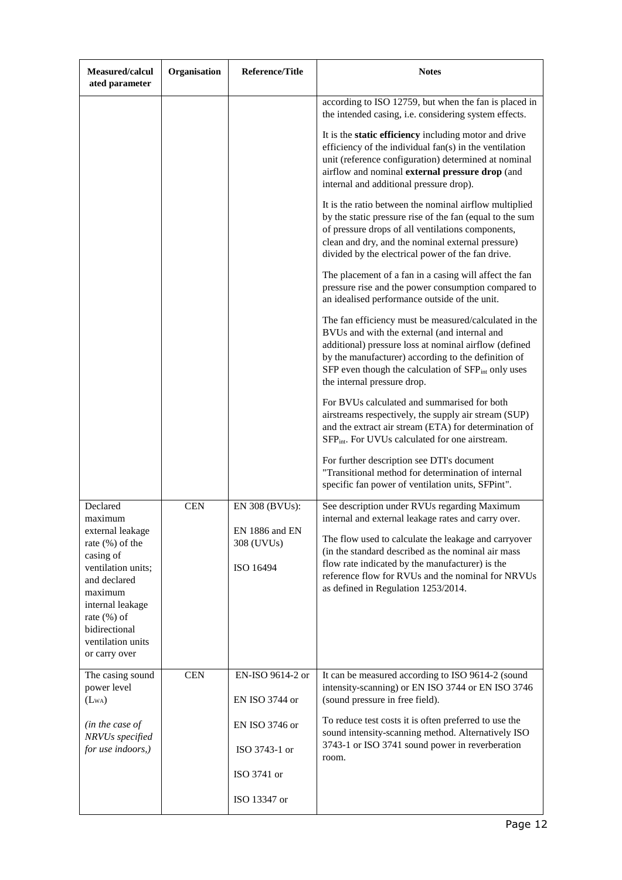| Measured/calcul<br>ated parameter                                                                                     | Organisation | <b>Reference/Title</b>                    | <b>Notes</b>                                                                                                                                                                                                                                                                                                            |
|-----------------------------------------------------------------------------------------------------------------------|--------------|-------------------------------------------|-------------------------------------------------------------------------------------------------------------------------------------------------------------------------------------------------------------------------------------------------------------------------------------------------------------------------|
|                                                                                                                       |              |                                           | according to ISO 12759, but when the fan is placed in<br>the intended casing, i.e. considering system effects.                                                                                                                                                                                                          |
|                                                                                                                       |              |                                           | It is the static efficiency including motor and drive<br>efficiency of the individual fan(s) in the ventilation<br>unit (reference configuration) determined at nominal<br>airflow and nominal external pressure drop (and<br>internal and additional pressure drop).                                                   |
|                                                                                                                       |              |                                           | It is the ratio between the nominal airflow multiplied<br>by the static pressure rise of the fan (equal to the sum<br>of pressure drops of all ventilations components,<br>clean and dry, and the nominal external pressure)<br>divided by the electrical power of the fan drive.                                       |
|                                                                                                                       |              |                                           | The placement of a fan in a casing will affect the fan<br>pressure rise and the power consumption compared to<br>an idealised performance outside of the unit.                                                                                                                                                          |
|                                                                                                                       |              |                                           | The fan efficiency must be measured/calculated in the<br>BVUs and with the external (and internal and<br>additional) pressure loss at nominal airflow (defined<br>by the manufacturer) according to the definition of<br>SFP even though the calculation of SFP <sub>int</sub> only uses<br>the internal pressure drop. |
|                                                                                                                       |              |                                           | For BVUs calculated and summarised for both<br>airstreams respectively, the supply air stream (SUP)<br>and the extract air stream (ETA) for determination of<br>SFP <sub>int</sub> . For UVUs calculated for one airstream.                                                                                             |
|                                                                                                                       |              |                                           | For further description see DTI's document<br>"Transitional method for determination of internal<br>specific fan power of ventilation units, SFPint".                                                                                                                                                                   |
| Declared<br>maximum                                                                                                   | <b>CEN</b>   | EN 308 (BVUs):                            | See description under RVUs regarding Maximum<br>internal and external leakage rates and carry over.                                                                                                                                                                                                                     |
| external leakage<br>rate (%) of the<br>casing of<br>ventilation units;                                                |              | EN 1886 and EN<br>308 (UVUs)<br>ISO 16494 | The flow used to calculate the leakage and carryover<br>(in the standard described as the nominal air mass<br>flow rate indicated by the manufacturer) is the<br>reference flow for RVUs and the nominal for NRVUs                                                                                                      |
| and declared<br>maximum<br>internal leakage<br>rate $(\% )$ of<br>bidirectional<br>ventilation units<br>or carry over |              |                                           | as defined in Regulation 1253/2014.                                                                                                                                                                                                                                                                                     |
| The casing sound<br>power level                                                                                       | <b>CEN</b>   | EN-ISO 9614-2 or                          | It can be measured according to ISO 9614-2 (sound<br>intensity-scanning) or EN ISO 3744 or EN ISO 3746                                                                                                                                                                                                                  |
| $(L_{WA})$<br>(in the case of                                                                                         |              | EN ISO 3744 or<br>EN ISO 3746 or          | (sound pressure in free field).<br>To reduce test costs it is often preferred to use the                                                                                                                                                                                                                                |
| NRVUs specified<br>for use indoors,)                                                                                  |              | ISO 3743-1 or                             | sound intensity-scanning method. Alternatively ISO<br>3743-1 or ISO 3741 sound power in reverberation<br>room.                                                                                                                                                                                                          |
|                                                                                                                       |              | ISO 3741 or                               |                                                                                                                                                                                                                                                                                                                         |
|                                                                                                                       |              | ISO 13347 or                              |                                                                                                                                                                                                                                                                                                                         |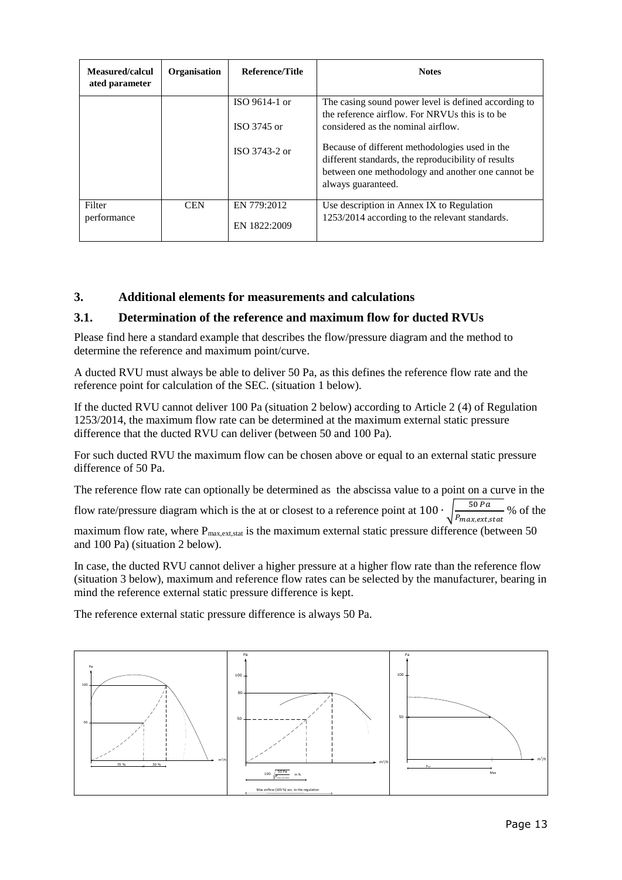| Measured/calcul<br>ated parameter | <b>Organisation</b> | Reference/Title             | <b>Notes</b>                                                                                                                                                                     |
|-----------------------------------|---------------------|-----------------------------|----------------------------------------------------------------------------------------------------------------------------------------------------------------------------------|
|                                   |                     | ISO 9614-1 or               | The casing sound power level is defined according to<br>the reference airflow. For NRVUs this is to be                                                                           |
|                                   |                     | ISO $3745$ or               | considered as the nominal airflow.                                                                                                                                               |
|                                   |                     | ISO $3743-2$ or             | Because of different methodologies used in the<br>different standards, the reproducibility of results<br>between one methodology and another one cannot be<br>always guaranteed. |
| Filter<br>performance             | <b>CEN</b>          | EN 779:2012<br>EN 1822:2009 | Use description in Annex IX to Regulation<br>1253/2014 according to the relevant standards.                                                                                      |

## **3. Additional elements for measurements and calculations**

## **3.1. Determination of the reference and maximum flow for ducted RVUs**

Please find here a standard example that describes the flow/pressure diagram and the method to determine the reference and maximum point/curve.

A ducted RVU must always be able to deliver 50 Pa, as this defines the reference flow rate and the reference point for calculation of the SEC. (situation 1 below).

If the ducted RVU cannot deliver 100 Pa (situation 2 below) according to Article 2 (4) of Regulation 1253/2014, the maximum flow rate can be determined at the maximum external static pressure difference that the ducted RVU can deliver (between 50 and 100 Pa)*.*

For such ducted RVU the maximum flow can be chosen above or equal to an external static pressure difference of 50 Pa.

The reference flow rate can optionally be determined as the abscissa value to a point on a curve in the

flow rate/pressure diagram which is the at or closest to a reference point at 100  $\cdot$ 50  $\frac{30 \text{ Pa}}{P_{max,ext,stat}}$  % of the

maximum flow rate, where  $P_{\text{max,ext,stat}}$  is the maximum external static pressure difference (between 50 and 100 Pa) (situation 2 below).

In case, the ducted RVU cannot deliver a higher pressure at a higher flow rate than the reference flow (situation 3 below), maximum and reference flow rates can be selected by the manufacturer, bearing in mind the reference external static pressure difference is kept.

The reference external static pressure difference is always 50 Pa.